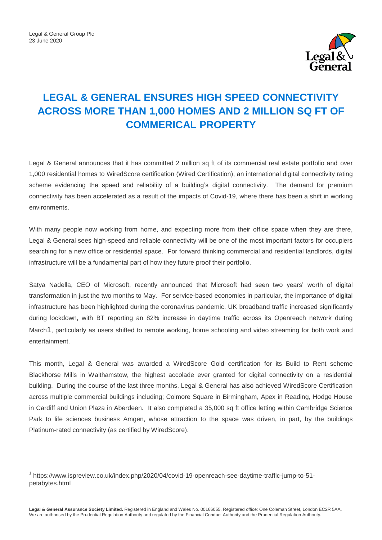-



# **LEGAL & GENERAL ENSURES HIGH SPEED CONNECTIVITY ACROSS MORE THAN 1,000 HOMES AND 2 MILLION SQ FT OF COMMERICAL PROPERTY**

Legal & General announces that it has committed 2 million sq ft of its commercial real estate portfolio and over 1,000 residential homes to WiredScore certification (Wired Certification), an international digital connectivity rating scheme evidencing the speed and reliability of a building's digital connectivity. The demand for premium connectivity has been accelerated as a result of the impacts of Covid-19, where there has been a shift in working environments.

With many people now working from home, and expecting more from their office space when they are there, Legal & General sees high-speed and reliable connectivity will be one of the most important factors for occupiers searching for a new office or residential space. For forward thinking commercial and residential landlords, digital infrastructure will be a fundamental part of how they future proof their portfolio.

Satya Nadella, CEO of Microsoft, recently announced that Microsoft had seen two years' worth of digital transformation in just the two months to May. For service-based economies in particular, the importance of digital infrastructure has been highlighted during the coronavirus pandemic. UK broadband traffic increased significantly during lockdown, with BT reporting an 82% increase in daytime traffic across its Openreach network during March1, particularly as users shifted to remote working, home schooling and video streaming for both work and entertainment.

This month, Legal & General was awarded a WiredScore Gold certification for its Build to Rent scheme Blackhorse Mills in Walthamstow, the highest accolade ever granted for digital connectivity on a residential building. During the course of the last three months, Legal & General has also achieved WiredScore Certification across multiple commercial buildings including; Colmore Square in Birmingham, Apex in Reading, Hodge House in Cardiff and Union Plaza in Aberdeen. It also completed a 35,000 sq ft office letting within Cambridge Science Park to life sciences business Amgen, whose attraction to the space was driven, in part, by the buildings Platinum-rated connectivity (as certified by WiredScore).

<sup>1</sup> [https://www.ispreview.co.uk/index.php/2020/04/covid-19-openreach-see-daytime-traffic-jump-to-51](https://www.ispreview.co.uk/index.php/2020/04/covid-19-openreach-see-daytime-traffic-jump-to-51-petabytes.html) [petabytes.html](https://www.ispreview.co.uk/index.php/2020/04/covid-19-openreach-see-daytime-traffic-jump-to-51-petabytes.html)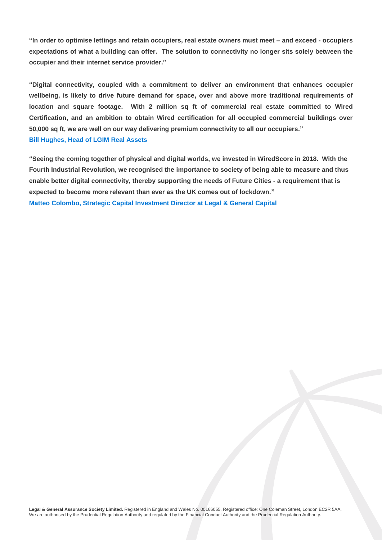**"In order to optimise lettings and retain occupiers, real estate owners must meet – and exceed - occupiers expectations of what a building can offer. The solution to connectivity no longer sits solely between the occupier and their internet service provider."** 

**"Digital connectivity, coupled with a commitment to deliver an environment that enhances occupier wellbeing, is likely to drive future demand for space, over and above more traditional requirements of location and square footage. With 2 million sq ft of commercial real estate committed to Wired Certification, and an ambition to obtain Wired certification for all occupied commercial buildings over 50,000 sq ft, we are well on our way delivering premium connectivity to all our occupiers." Bill Hughes, Head of LGIM Real Assets**

**"Seeing the coming together of physical and digital worlds, we invested in WiredScore in 2018. With the Fourth Industrial Revolution, we recognised the importance to society of being able to measure and thus enable better digital connectivity, thereby supporting the needs of Future Cities - a requirement that is expected to become more relevant than ever as the UK comes out of lockdown." Matteo Colombo, Strategic Capital Investment Director at Legal & General Capital**